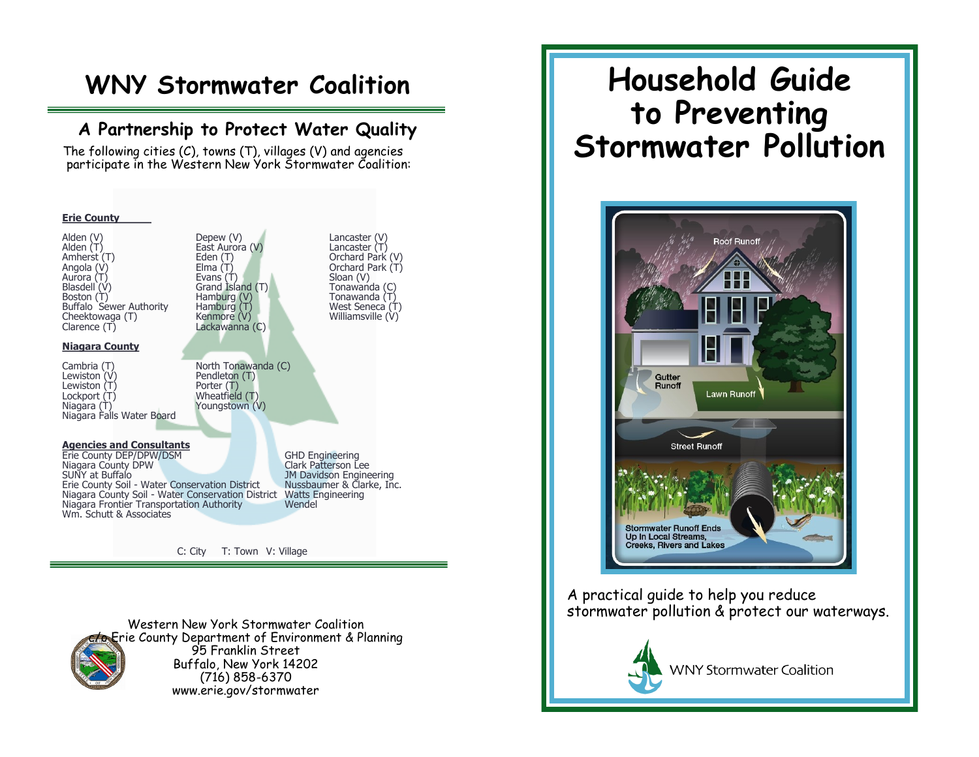## **WNY Stormwater Coalition**

### **A Partnership to Protect Water Quality**

 The following cities (C), towns (T), villages (V) and agencies participate in the Western New York Stormwater Coalition:



Western New York Stormwater Coalition Erie County Department of Environment & Planning 95 Franklin Street Buffalo, New York 14202 (716) 858-6370 www.erie.gov/stormwater

# **Household Guide to Preventing Stormwater Pollution**



A practical guide to help you reduce stormwater pollution & protect our waterways.